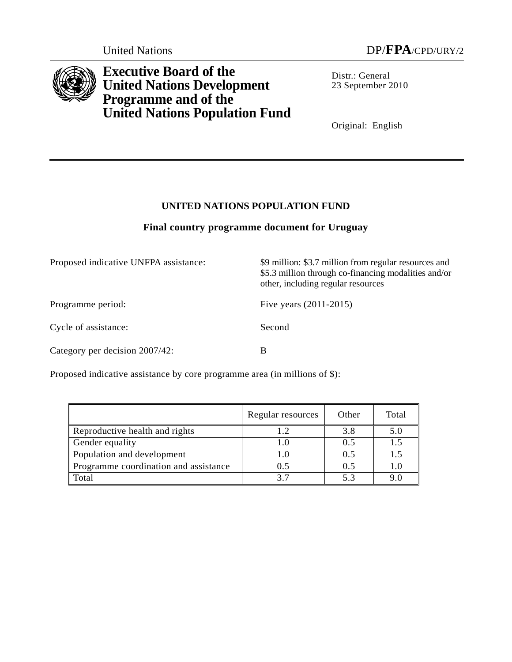

**Executive Board of the United Nations Development Programme and of the United Nations Population Fund**

Distr.: General 23 September 2010

Original: English

# **UNITED NATIONS POPULATION FUND**

# **Final country programme document for Uruguay**

| Proposed indicative UNFPA assistance: | \$9 million: \$3.7 million from regular resources and<br>\$5.3 million through co-financing modalities and/or<br>other, including regular resources |  |
|---------------------------------------|-----------------------------------------------------------------------------------------------------------------------------------------------------|--|
| Programme period:                     | Five years $(2011-2015)$                                                                                                                            |  |
| Cycle of assistance:                  | Second                                                                                                                                              |  |
| Category per decision 2007/42:        | B                                                                                                                                                   |  |

Proposed indicative assistance by core programme area (in millions of \$):

|                                       | Regular resources | Other | Total |
|---------------------------------------|-------------------|-------|-------|
| Reproductive health and rights        | 1.2               | 3.8   | 5.0   |
| Gender equality                       | 1.0               | 0.5   | 1.5   |
| Population and development            | $1.0\,$           | 0.5   | 1.5   |
| Programme coordination and assistance | 0.5               | 0.5   | 1.0   |
| Total                                 |                   | 5.3   | 9.0   |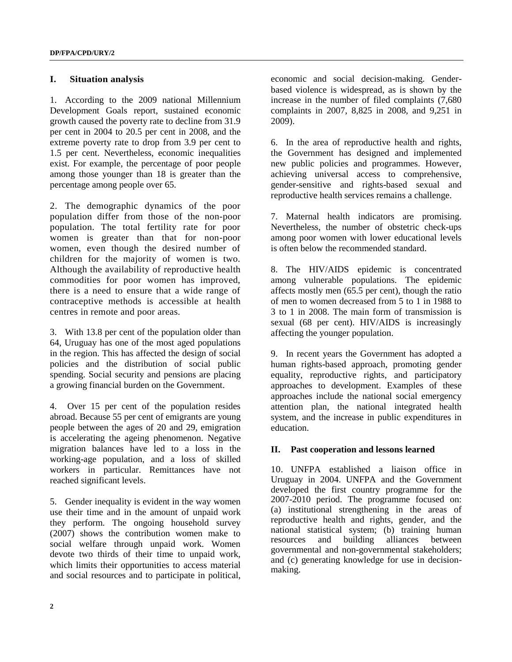#### **I. Situation analysis**

1. According to the 2009 national Millennium Development Goals report, sustained economic growth caused the poverty rate to decline from 31.9 per cent in 2004 to 20.5 per cent in 2008, and the extreme poverty rate to drop from 3.9 per cent to 1.5 per cent. Nevertheless, economic inequalities exist. For example, the percentage of poor people among those younger than 18 is greater than the percentage among people over 65.

2. The demographic dynamics of the poor population differ from those of the non-poor population. The total fertility rate for poor women is greater than that for non-poor women, even though the desired number of children for the majority of women is two. Although the availability of reproductive health commodities for poor women has improved, there is a need to ensure that a wide range of contraceptive methods is accessible at health centres in remote and poor areas.

3. With 13.8 per cent of the population older than 64, Uruguay has one of the most aged populations in the region. This has affected the design of social policies and the distribution of social public spending. Social security and pensions are placing a growing financial burden on the Government.

4. Over 15 per cent of the population resides abroad. Because 55 per cent of emigrants are young people between the ages of 20 and 29, emigration is accelerating the ageing phenomenon. Negative migration balances have led to a loss in the working-age population, and a loss of skilled workers in particular. Remittances have not reached significant levels.

5. Gender inequality is evident in the way women use their time and in the amount of unpaid work they perform. The ongoing household survey (2007) shows the contribution women make to social welfare through unpaid work. Women devote two thirds of their time to unpaid work, which limits their opportunities to access material and social resources and to participate in political,

economic and social decision-making. Genderbased violence is widespread, as is shown by the increase in the number of filed complaints (7,680 complaints in 2007, 8,825 in 2008, and 9,251 in 2009).

6. In the area of reproductive health and rights, the Government has designed and implemented new public policies and programmes. However, achieving universal access to comprehensive, gender-sensitive and rights-based sexual and reproductive health services remains a challenge.

7. Maternal health indicators are promising. Nevertheless, the number of obstetric check-ups among poor women with lower educational levels is often below the recommended standard.

8. The HIV/AIDS epidemic is concentrated among vulnerable populations. The epidemic affects mostly men (65.5 per cent), though the ratio of men to women decreased from 5 to 1 in 1988 to 3 to 1 in 2008. The main form of transmission is sexual (68 per cent). HIV/AIDS is increasingly affecting the younger population.

9. In recent years the Government has adopted a human rights-based approach, promoting gender equality, reproductive rights, and participatory approaches to development. Examples of these approaches include the national social emergency attention plan, the national integrated health system, and the increase in public expenditures in education.

#### **II. Past cooperation and lessons learned**

10. UNFPA established a liaison office in Uruguay in 2004. UNFPA and the Government developed the first country programme for the 2007-2010 period. The programme focused on: (a) institutional strengthening in the areas of reproductive health and rights, gender, and the national statistical system; (b) training human resources and building alliances between governmental and non-governmental stakeholders; and (c) generating knowledge for use in decisionmaking.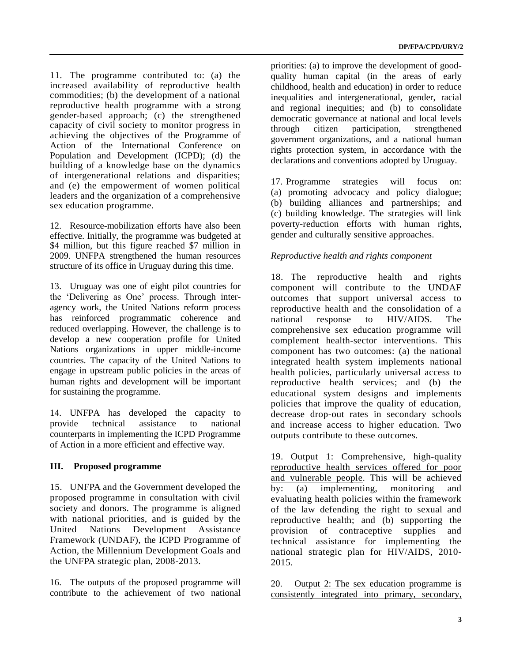11. The programme contributed to: (a) the increased availability of reproductive health commodities; (b) the development of a national reproductive health programme with a strong gender-based approach; (c) the strengthened capacity of civil society to monitor progress in achieving the objectives of the Programme of Action of the International Conference on Population and Development (ICPD); (d) the building of a knowledge base on the dynamics of intergenerational relations and disparities; and (e) the empowerment of women political leaders and the organization of a comprehensive sex education programme.

12. Resource-mobilization efforts have also been effective. Initially, the programme was budgeted at \$4 million, but this figure reached \$7 million in 2009. UNFPA strengthened the human resources structure of its office in Uruguay during this time.

13. Uruguay was one of eight pilot countries for the 'Delivering as One' process. Through interagency work, the United Nations reform process has reinforced programmatic coherence and reduced overlapping. However, the challenge is to develop a new cooperation profile for United Nations organizations in upper middle-income countries. The capacity of the United Nations to engage in upstream public policies in the areas of human rights and development will be important for sustaining the programme.

14. UNFPA has developed the capacity to provide technical assistance to national counterparts in implementing the ICPD Programme of Action in a more efficient and effective way.

## **III. Proposed programme**

15. UNFPA and the Government developed the proposed programme in consultation with civil society and donors. The programme is aligned with national priorities, and is guided by the United Nations Development Assistance Framework (UNDAF), the ICPD Programme of Action, the Millennium Development Goals and the UNFPA strategic plan, 2008-2013.

16. The outputs of the proposed programme will contribute to the achievement of two national priorities: (a) to improve the development of goodquality human capital (in the areas of early childhood, health and education) in order to reduce inequalities and intergenerational, gender, racial and regional inequities; and (b) to consolidate democratic governance at national and local levels through citizen participation, strengthened government organizations, and a national human rights protection system, in accordance with the declarations and conventions adopted by Uruguay.

17. Programme strategies will focus on: (a) promoting advocacy and policy dialogue; (b) building alliances and partnerships; and (c) building knowledge. The strategies will link poverty-reduction efforts with human rights, gender and culturally sensitive approaches.

## *Reproductive health and rights component*

18. The reproductive health and rights component will contribute to the UNDAF outcomes that support universal access to reproductive health and the consolidation of a national response to HIV/AIDS. The comprehensive sex education programme will complement health-sector interventions. This component has two outcomes: (a) the national integrated health system implements national health policies, particularly universal access to reproductive health services; and (b) the educational system designs and implements policies that improve the quality of education, decrease drop-out rates in secondary schools and increase access to higher education. Two outputs contribute to these outcomes.

19. Output 1: Comprehensive, high-quality reproductive health services offered for poor and vulnerable people. This will be achieved by: (a) implementing, monitoring and evaluating health policies within the framework of the law defending the right to sexual and reproductive health; and (b) supporting the provision of contraceptive supplies and technical assistance for implementing the national strategic plan for HIV/AIDS, 2010- 2015.

20. Output 2: The sex education programme is consistently integrated into primary, secondary,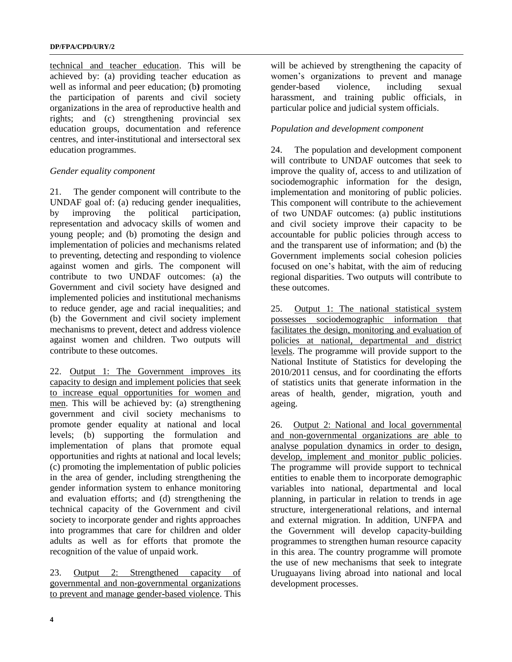technical and teacher education. This will be achieved by: (a) providing teacher education as well as informal and peer education; (b**)** promoting the participation of parents and civil society organizations in the area of reproductive health and rights; and (c) strengthening provincial sex education groups, documentation and reference centres, and inter-institutional and intersectoral sex education programmes.

### *Gender equality component*

21. The gender component will contribute to the UNDAF goal of: (a) reducing gender inequalities, by improving the political participation, representation and advocacy skills of women and young people; and (b) promoting the design and implementation of policies and mechanisms related to preventing, detecting and responding to violence against women and girls. The component will contribute to two UNDAF outcomes: (a) the Government and civil society have designed and implemented policies and institutional mechanisms to reduce gender, age and racial inequalities; and (b) the Government and civil society implement mechanisms to prevent, detect and address violence against women and children. Two outputs will contribute to these outcomes.

22. Output 1: The Government improves its capacity to design and implement policies that seek to increase equal opportunities for women and men. This will be achieved by: (a) strengthening government and civil society mechanisms to promote gender equality at national and local levels; (b) supporting the formulation and implementation of plans that promote equal opportunities and rights at national and local levels; (c) promoting the implementation of public policies in the area of gender, including strengthening the gender information system to enhance monitoring and evaluation efforts; and (d) strengthening the technical capacity of the Government and civil society to incorporate gender and rights approaches into programmes that care for children and older adults as well as for efforts that promote the recognition of the value of unpaid work.

23. Output 2: Strengthened capacity of governmental and non-governmental organizations to prevent and manage gender**-**based violence. This

will be achieved by strengthening the capacity of women's organizations to prevent and manage gender-based violence, including sexual harassment, and training public officials, in particular police and judicial system officials.

## *Population and development component*

24. The population and development component will contribute to UNDAF outcomes that seek to improve the quality of, access to and utilization of sociodemographic information for the design, implementation and monitoring of public policies. This component will contribute to the achievement of two UNDAF outcomes: (a) public institutions and civil society improve their capacity to be accountable for public policies through access to and the transparent use of information; and (b) the Government implements social cohesion policies focused on one's habitat, with the aim of reducing regional disparities. Two outputs will contribute to these outcomes.

25. Output 1: The national statistical system possesses sociodemographic information that facilitates the design, monitoring and evaluation of policies at national, departmental and district levels. The programme will provide support to the National Institute of Statistics for developing the 2010/2011 census, and for coordinating the efforts of statistics units that generate information in the areas of health, gender, migration, youth and ageing.

26. Output 2: National and local governmental and non-governmental organizations are able to analyse population dynamics in order to design, develop, implement and monitor public policies. The programme will provide support to technical entities to enable them to incorporate demographic variables into national, departmental and local planning, in particular in relation to trends in age structure, intergenerational relations, and internal and external migration. In addition, UNFPA and the Government will develop capacity-building programmes to strengthen human resource capacity in this area. The country programme will promote the use of new mechanisms that seek to integrate Uruguayans living abroad into national and local development processes.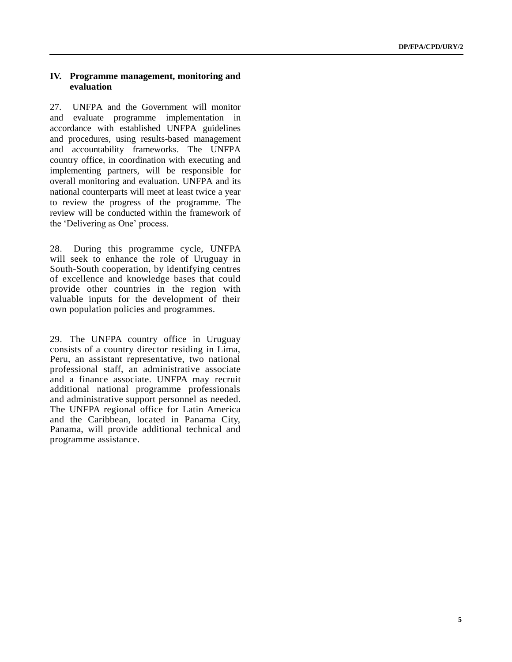#### **IV. Programme management, monitoring and evaluation**

27. UNFPA and the Government will monitor and evaluate programme implementation in accordance with established UNFPA guidelines and procedures, using results-based management and accountability frameworks. The UNFPA country office, in coordination with executing and implementing partners, will be responsible for overall monitoring and evaluation. UNFPA and its national counterparts will meet at least twice a year to review the progress of the programme. The review will be conducted within the framework of the 'Delivering as One' process.

28. During this programme cycle, UNFPA will seek to enhance the role of Uruguay in South-South cooperation, by identifying centres of excellence and knowledge bases that could provide other countries in the region with valuable inputs for the development of their own population policies and programmes.

29. The UNFPA country office in Uruguay consists of a country director residing in Lima, Peru, an assistant representative, two national professional staff, an administrative associate and a finance associate. UNFPA may recruit additional national programme professionals and administrative support personnel as needed. The UNFPA regional office for Latin America and the Caribbean, located in Panama City, Panama, will provide additional technical and programme assistance.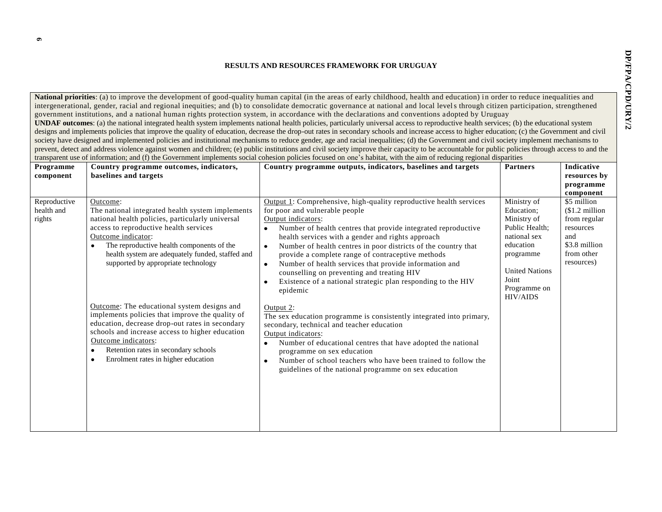#### **RESULTS AND RESOURCES FRAMEWORK FOR URUGUAY**

**National priorities**: (a) to improve the development of good-quality human capital (in the areas of early childhood, health and education) in order to reduce inequalities and intergenerational, gender, racial and regional inequities; and (b) to consolidate democratic governance at national and local levels through citizen participation, strengthened government institutions, and a national human rights protection system, in accordance with the declarations and conventions adopted by Uruguay **UNDAF outcomes**: (a) the national integrated health system implements national health policies, particularly universal access to reproductive health services; (b) the educational system designs and implements policies that improve the quality of education, decrease the drop-out rates in secondary schools and increase access to higher education; (c) the Government and civil society have designed and implemented policies and institutional mechanisms to reduce gender, age and racial inequalities; (d) the Government and civil society implement mechanisms to prevent, detect and address violence against women and children; (e) public institutions and civil society improve their capacity to be accountable for public policies through access to and the transparent use of information; and (f) the Government implements social cohesion policies focused on one's habitat, with the aim of reducing regional disparities

|                                      |                                                                                                                                                                                                                                                                                                                                                                                                                                                                                                                                                                                                                                                                  | иапорагене аэс от пионнанон, ана (1) ане сютенинени инриеннено зостат сонезной роненсо тосажа он оне з наонат, whit ане ани от геаасинg гедионат апорагниез                                                                                                                                                                                                                                                                                                                                                                                                                                                                                                                                                                                                                                                                                                                                                                                                                         |                                                                                                                                                                           |                                                                                                                             |
|--------------------------------------|------------------------------------------------------------------------------------------------------------------------------------------------------------------------------------------------------------------------------------------------------------------------------------------------------------------------------------------------------------------------------------------------------------------------------------------------------------------------------------------------------------------------------------------------------------------------------------------------------------------------------------------------------------------|-------------------------------------------------------------------------------------------------------------------------------------------------------------------------------------------------------------------------------------------------------------------------------------------------------------------------------------------------------------------------------------------------------------------------------------------------------------------------------------------------------------------------------------------------------------------------------------------------------------------------------------------------------------------------------------------------------------------------------------------------------------------------------------------------------------------------------------------------------------------------------------------------------------------------------------------------------------------------------------|---------------------------------------------------------------------------------------------------------------------------------------------------------------------------|-----------------------------------------------------------------------------------------------------------------------------|
| Programme                            | Country programme outcomes, indicators,<br>baselines and targets                                                                                                                                                                                                                                                                                                                                                                                                                                                                                                                                                                                                 | Country programme outputs, indicators, baselines and targets                                                                                                                                                                                                                                                                                                                                                                                                                                                                                                                                                                                                                                                                                                                                                                                                                                                                                                                        | <b>Partners</b>                                                                                                                                                           | Indicative<br>resources by                                                                                                  |
| component                            |                                                                                                                                                                                                                                                                                                                                                                                                                                                                                                                                                                                                                                                                  |                                                                                                                                                                                                                                                                                                                                                                                                                                                                                                                                                                                                                                                                                                                                                                                                                                                                                                                                                                                     |                                                                                                                                                                           |                                                                                                                             |
|                                      |                                                                                                                                                                                                                                                                                                                                                                                                                                                                                                                                                                                                                                                                  |                                                                                                                                                                                                                                                                                                                                                                                                                                                                                                                                                                                                                                                                                                                                                                                                                                                                                                                                                                                     |                                                                                                                                                                           | programme                                                                                                                   |
| Reproductive<br>health and<br>rights | Outcome:<br>The national integrated health system implements<br>national health policies, particularly universal<br>access to reproductive health services<br>Outcome indicator:<br>The reproductive health components of the<br>$\bullet$<br>health system are adequately funded, staffed and<br>supported by appropriate technology<br>Outcome: The educational system designs and<br>implements policies that improve the quality of<br>education, decrease drop-out rates in secondary<br>schools and increase access to higher education<br>Outcome indicators:<br>Retention rates in secondary schools<br>Enrolment rates in higher education<br>$\bullet$ | Output 1: Comprehensive, high-quality reproductive health services<br>for poor and vulnerable people<br>Output indicators:<br>Number of health centres that provide integrated reproductive<br>health services with a gender and rights approach<br>Number of health centres in poor districts of the country that<br>$\bullet$<br>provide a complete range of contraceptive methods<br>Number of health services that provide information and<br>$\bullet$<br>counselling on preventing and treating HIV<br>Existence of a national strategic plan responding to the HIV<br>$\bullet$<br>epidemic<br>Output 2:<br>The sex education programme is consistently integrated into primary,<br>secondary, technical and teacher education<br>Output indicators:<br>Number of educational centres that have adopted the national<br>programme on sex education<br>Number of school teachers who have been trained to follow the<br>guidelines of the national programme on sex education | Ministry of<br>Education:<br>Ministry of<br>Public Health;<br>national sex<br>education<br>programme<br><b>United Nations</b><br>Joint<br>Programme on<br><b>HIV/AIDS</b> | component<br>\$5 million<br>$$1.2$ million<br>from regular<br>resources<br>and<br>\$3.8 million<br>from other<br>resources) |